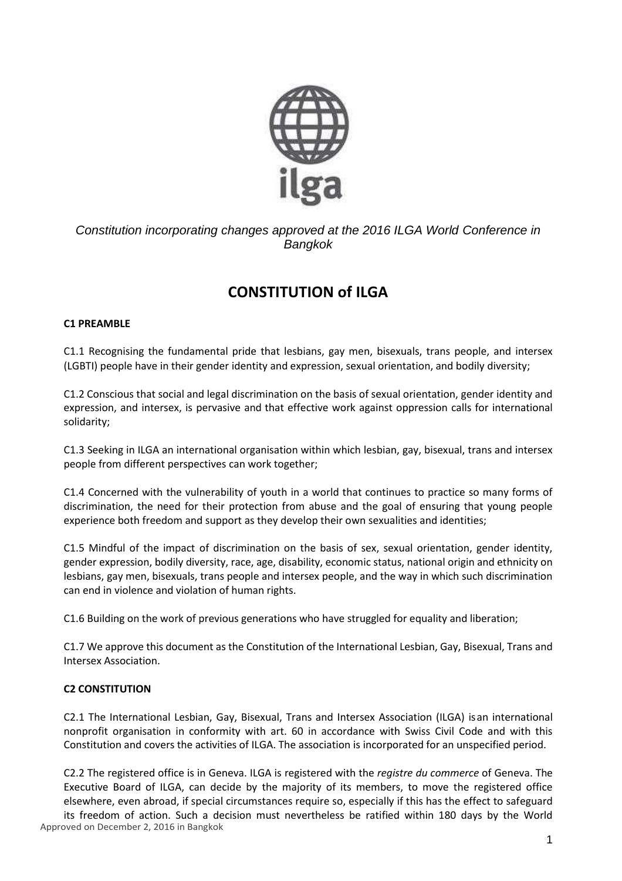

*Constitution incorporating changes approved at the 2016 ILGA World Conference in Bangkok*

# **CONSTITUTION of ILGA**

## **C1 PREAMBLE**

C1.1 Recognising the fundamental pride that lesbians, gay men, bisexuals, trans people, and intersex (LGBTI) people have in their gender identity and expression, sexual orientation, and bodily diversity;

C1.2 Conscious that social and legal discrimination on the basis of sexual orientation, gender identity and expression, and intersex, is pervasive and that effective work against oppression calls for international solidarity;

C1.3 Seeking in ILGA an international organisation within which lesbian, gay, bisexual, trans and intersex people from different perspectives can work together;

C1.4 Concerned with the vulnerability of youth in a world that continues to practice so many forms of discrimination, the need for their protection from abuse and the goal of ensuring that young people experience both freedom and support as they develop their own sexualities and identities;

C1.5 Mindful of the impact of discrimination on the basis of sex, sexual orientation, gender identity, gender expression, bodily diversity, race, age, disability, economic status, national origin and ethnicity on lesbians, gay men, bisexuals, trans people and intersex people, and the way in which such discrimination can end in violence and violation of human rights.

C1.6 Building on the work of previous generations who have struggled for equality and liberation;

C1.7 We approve this document as the Constitution of the International Lesbian, Gay, Bisexual, Trans and Intersex Association.

## **C2 CONSTITUTION**

C2.1 The International Lesbian, Gay, Bisexual, Trans and Intersex Association (ILGA) isan international nonprofit organisation in conformity with art. 60 in accordance with Swiss Civil Code and with this Constitution and covers the activities of ILGA. The association is incorporated for an unspecified period.

C2.2 The registered office is in Geneva. ILGA is registered with the *registre du commerce* of Geneva. The Executive Board of ILGA, can decide by the majority of its members, to move the registered office elsewhere, even abroad, if special circumstances require so, especially if this has the effect to safeguard

Approved on December 2, 2016 in Bangkok its freedom of action. Such a decision must nevertheless be ratified within 180 days by the World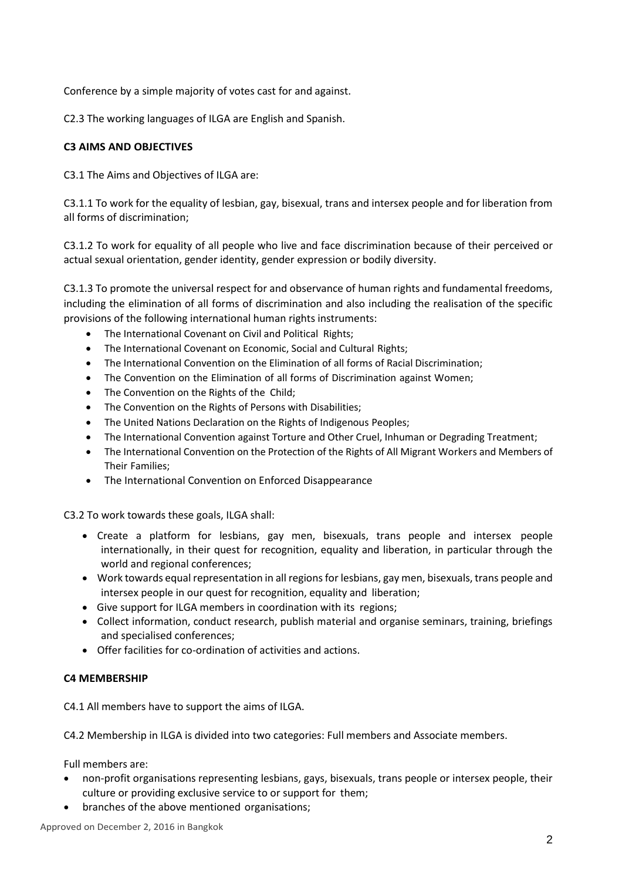Conference by a simple majority of votes cast for and against.

C2.3 The working languages of ILGA are English and Spanish.

## **C3 AIMS AND OBJECTIVES**

C3.1 The Aims and Objectives of ILGA are:

C3.1.1 To work for the equality of lesbian, gay, bisexual, trans and intersex people and for liberation from all forms of discrimination;

C3.1.2 To work for equality of all people who live and face discrimination because of their perceived or actual sexual orientation, gender identity, gender expression or bodily diversity.

C3.1.3 To promote the universal respect for and observance of human rights and fundamental freedoms, including the elimination of all forms of discrimination and also including the realisation of the specific provisions of the following international human rights instruments:

- The International Covenant on Civil and Political Rights;
- The International Covenant on Economic, Social and Cultural Rights;
- The International Convention on the Elimination of all forms of Racial Discrimination;
- The Convention on the Elimination of all forms of Discrimination against Women;
- The Convention on the Rights of the Child;
- The Convention on the Rights of Persons with Disabilities;
- The United Nations Declaration on the Rights of Indigenous Peoples;
- The International Convention against Torture and Other Cruel, Inhuman or Degrading Treatment;
- The International Convention on the Protection of the Rights of All Migrant Workers and Members of Their Families;
- The International Convention on Enforced Disappearance

C3.2 To work towards these goals, ILGA shall:

- Create a platform for lesbians, gay men, bisexuals, trans people and intersex people internationally, in their quest for recognition, equality and liberation, in particular through the world and regional conferences;
- Work towards equal representation in all regions for lesbians, gay men, bisexuals, trans people and intersex people in our quest for recognition, equality and liberation;
- Give support for ILGA members in coordination with its regions;
- Collect information, conduct research, publish material and organise seminars, training, briefings and specialised conferences;
- Offer facilities for co-ordination of activities and actions.

#### **C4 MEMBERSHIP**

C4.1 All members have to support the aims of ILGA.

C4.2 Membership in ILGA is divided into two categories: Full members and Associate members.

Full members are:

- non-profit organisations representing lesbians, gays, bisexuals, trans people or intersex people, their culture or providing exclusive service to or support for them;
- branches of the above mentioned organisations;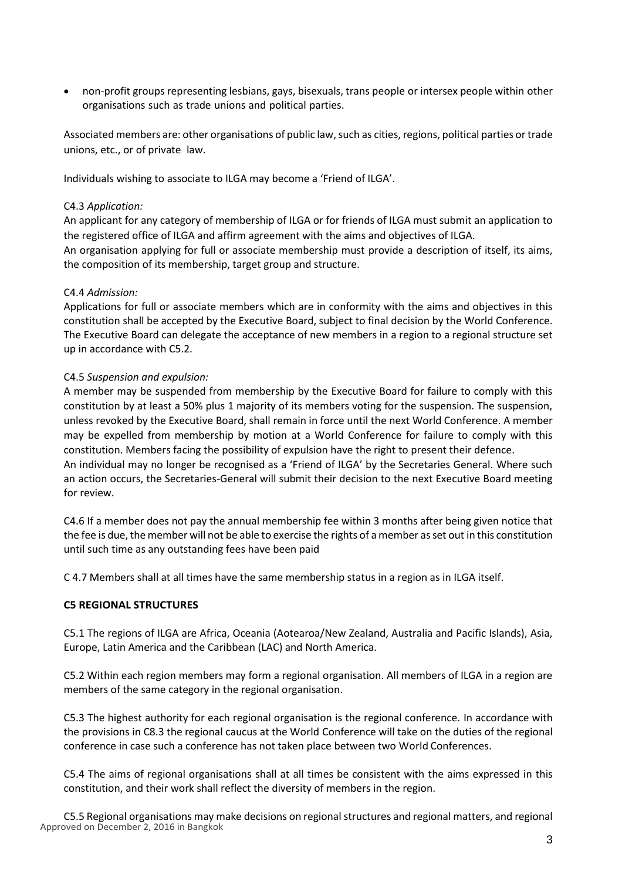• non-profit groups representing lesbians, gays, bisexuals, trans people or intersex people within other organisations such as trade unions and political parties.

Associated members are: other organisations of public law, such as cities, regions, political parties or trade unions, etc., or of private law.

Individuals wishing to associate to ILGA may become a 'Friend of ILGA'.

#### C4.3 *Application:*

An applicant for any category of membership of ILGA or for friends of ILGA must submit an application to the registered office of ILGA and affirm agreement with the aims and objectives of ILGA.

An organisation applying for full or associate membership must provide a description of itself, its aims, the composition of its membership, target group and structure.

#### C4.4 *Admission:*

Applications for full or associate members which are in conformity with the aims and objectives in this constitution shall be accepted by the Executive Board, subject to final decision by the World Conference. The Executive Board can delegate the acceptance of new members in a region to a regional structure set up in accordance with C5.2.

#### C4.5 *Suspension and expulsion:*

A member may be suspended from membership by the Executive Board for failure to comply with this constitution by at least a 50% plus 1 majority of its members voting for the suspension. The suspension, unless revoked by the Executive Board, shall remain in force until the next World Conference. A member may be expelled from membership by motion at a World Conference for failure to comply with this constitution. Members facing the possibility of expulsion have the right to present their defence. An individual may no longer be recognised as a 'Friend of ILGA' by the Secretaries General. Where such

an action occurs, the Secretaries-General will submit their decision to the next Executive Board meeting for review.

C4.6 If a member does not pay the annual membership fee within 3 months after being given notice that the fee is due, the member will not be able to exercise the rights of a member as set out in this constitution until such time as any outstanding fees have been paid

C 4.7 Members shall at all times have the same membership status in a region as in ILGA itself.

#### **C5 REGIONAL STRUCTURES**

C5.1 The regions of ILGA are Africa, Oceania (Aotearoa/New Zealand, Australia and Pacific Islands), Asia, Europe, Latin America and the Caribbean (LAC) and North America.

C5.2 Within each region members may form a regional organisation. All members of ILGA in a region are members of the same category in the regional organisation.

C5.3 The highest authority for each regional organisation is the regional conference. In accordance with the provisions in C8.3 the regional caucus at the World Conference will take on the duties of the regional conference in case such a conference has not taken place between two World Conferences.

C5.4 The aims of regional organisations shall at all times be consistent with the aims expressed in this constitution, and their work shall reflect the diversity of members in the region.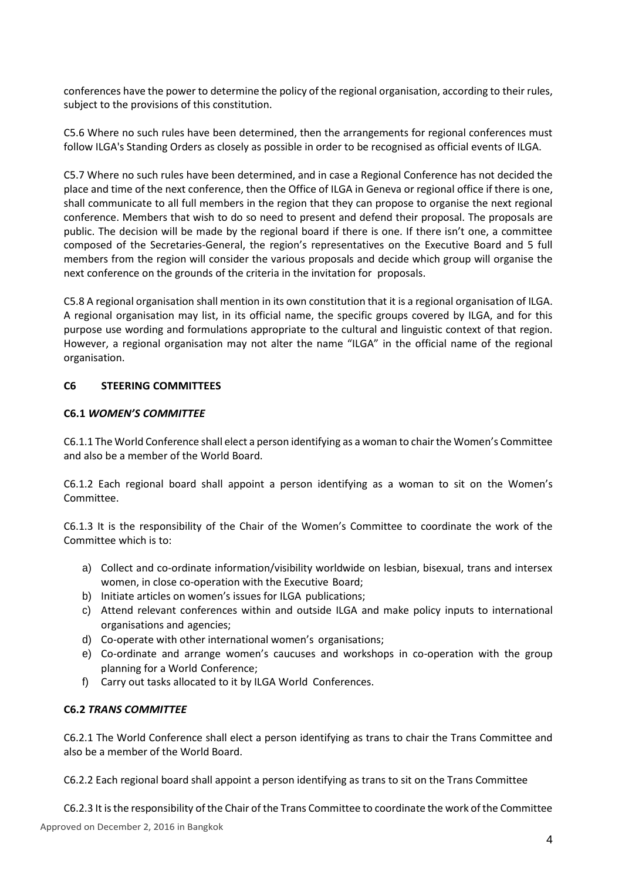conferences have the power to determine the policy of the regional organisation, according to their rules, subject to the provisions of this constitution.

C5.6 Where no such rules have been determined, then the arrangements for regional conferences must follow ILGA's Standing Orders as closely as possible in order to be recognised as official events of ILGA.

C5.7 Where no such rules have been determined, and in case a Regional Conference has not decided the place and time of the next conference, then the Office of ILGA in Geneva or regional office if there is one, shall communicate to all full members in the region that they can propose to organise the next regional conference. Members that wish to do so need to present and defend their proposal. The proposals are public. The decision will be made by the regional board if there is one. If there isn't one, a committee composed of the Secretaries-General, the region's representatives on the Executive Board and 5 full members from the region will consider the various proposals and decide which group will organise the next conference on the grounds of the criteria in the invitation for proposals.

C5.8 A regional organisation shall mention in its own constitution that it is a regional organisation of ILGA. A regional organisation may list, in its official name, the specific groups covered by ILGA, and for this purpose use wording and formulations appropriate to the cultural and linguistic context of that region. However, a regional organisation may not alter the name "ILGA" in the official name of the regional organisation.

## **C6 STEERING COMMITTEES**

#### **C6.1** *WOMEN'S COMMITTEE*

C6.1.1 The World Conference shall elect a person identifying as a woman to chair the Women's Committee and also be a member of the World Board.

C6.1.2 Each regional board shall appoint a person identifying as a woman to sit on the Women's Committee.

C6.1.3 It is the responsibility of the Chair of the Women's Committee to coordinate the work of the Committee which is to:

- a) Collect and co-ordinate information/visibility worldwide on lesbian, bisexual, trans and intersex women, in close co-operation with the Executive Board;
- b) Initiate articles on women's issues for ILGA publications;
- c) Attend relevant conferences within and outside ILGA and make policy inputs to international organisations and agencies;
- d) Co-operate with other international women's organisations;
- e) Co-ordinate and arrange women's caucuses and workshops in co-operation with the group planning for a World Conference;
- f) Carry out tasks allocated to it by ILGA World Conferences.

#### **C6.2** *TRANS COMMITTEE*

C6.2.1 The World Conference shall elect a person identifying as trans to chair the Trans Committee and also be a member of the World Board.

C6.2.2 Each regional board shall appoint a person identifying as trans to sit on the Trans Committee

C6.2.3 It is the responsibility of the Chair of the Trans Committee to coordinate the work of the Committee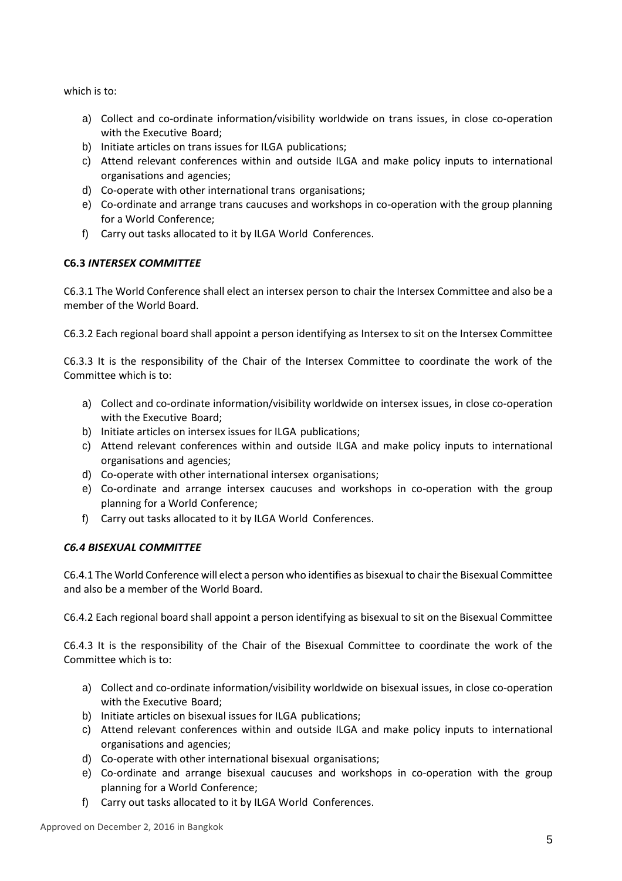which is to:

- a) Collect and co-ordinate information/visibility worldwide on trans issues, in close co-operation with the Executive Board;
- b) Initiate articles on trans issues for ILGA publications;
- c) Attend relevant conferences within and outside ILGA and make policy inputs to international organisations and agencies;
- d) Co-operate with other international trans organisations;
- e) Co-ordinate and arrange trans caucuses and workshops in co-operation with the group planning for a World Conference;
- f) Carry out tasks allocated to it by ILGA World Conferences.

# **C6.3** *INTERSEX COMMITTEE*

C6.3.1 The World Conference shall elect an intersex person to chair the Intersex Committee and also be a member of the World Board.

C6.3.2 Each regional board shall appoint a person identifying as Intersex to sit on the Intersex Committee

C6.3.3 It is the responsibility of the Chair of the Intersex Committee to coordinate the work of the Committee which is to:

- a) Collect and co-ordinate information/visibility worldwide on intersex issues, in close co-operation with the Executive Board;
- b) Initiate articles on intersex issues for ILGA publications;
- c) Attend relevant conferences within and outside ILGA and make policy inputs to international organisations and agencies;
- d) Co-operate with other international intersex organisations;
- e) Co-ordinate and arrange intersex caucuses and workshops in co-operation with the group planning for a World Conference;
- f) Carry out tasks allocated to it by ILGA World Conferences.

# *C6.4 BISEXUAL COMMITTEE*

C6.4.1 The World Conference will elect a person who identifies as bisexual to chair the Bisexual Committee and also be a member of the World Board.

C6.4.2 Each regional board shall appoint a person identifying as bisexual to sit on the Bisexual Committee

C6.4.3 It is the responsibility of the Chair of the Bisexual Committee to coordinate the work of the Committee which is to:

- a) Collect and co-ordinate information/visibility worldwide on bisexual issues, in close co-operation with the Executive Board;
- b) Initiate articles on bisexual issues for ILGA publications;
- c) Attend relevant conferences within and outside ILGA and make policy inputs to international organisations and agencies;
- d) Co-operate with other international bisexual organisations;
- e) Co-ordinate and arrange bisexual caucuses and workshops in co-operation with the group planning for a World Conference;
- f) Carry out tasks allocated to it by ILGA World Conferences.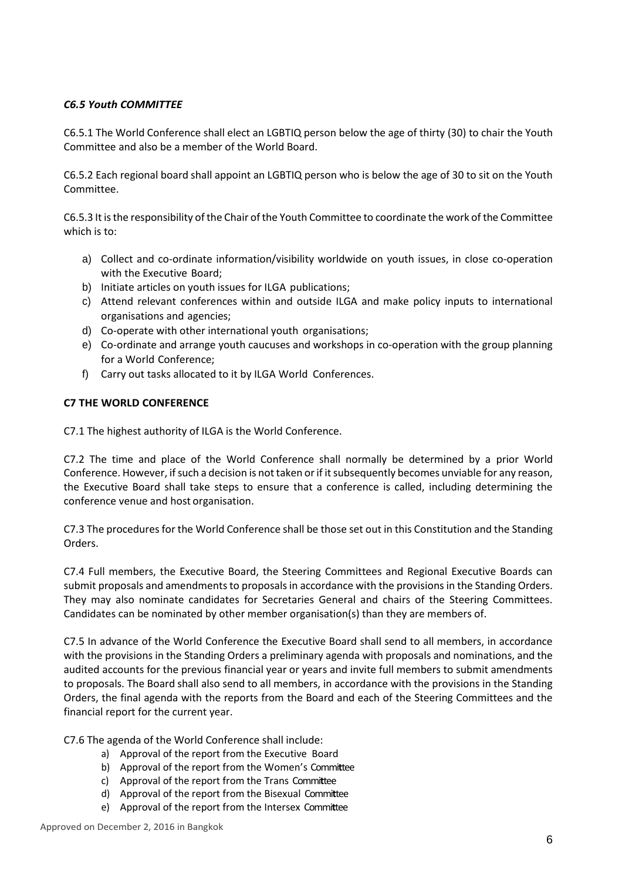## *C6.5 Youth COMMITTEE*

C6.5.1 The World Conference shall elect an LGBTIQ person below the age of thirty (30) to chair the Youth Committee and also be a member of the World Board.

C6.5.2 Each regional board shall appoint an LGBTIQ person who is below the age of 30 to sit on the Youth Committee.

C6.5.3 It is the responsibility of the Chair of the Youth Committee to coordinate the work of the Committee which is to:

- a) Collect and co-ordinate information/visibility worldwide on youth issues, in close co-operation with the Executive Board;
- b) Initiate articles on youth issues for ILGA publications;
- c) Attend relevant conferences within and outside ILGA and make policy inputs to international organisations and agencies;
- d) Co-operate with other international youth organisations;
- e) Co-ordinate and arrange youth caucuses and workshops in co-operation with the group planning for a World Conference;
- f) Carry out tasks allocated to it by ILGA World Conferences.

## **C7 THE WORLD CONFERENCE**

C7.1 The highest authority of ILGA is the World Conference.

C7.2 The time and place of the World Conference shall normally be determined by a prior World Conference. However, if such a decision is not taken or if it subsequently becomes unviable for any reason, the Executive Board shall take steps to ensure that a conference is called, including determining the conference venue and host organisation.

C7.3 The procedures for the World Conference shall be those set out in this Constitution and the Standing Orders.

C7.4 Full members, the Executive Board, the Steering Committees and Regional Executive Boards can submit proposals and amendments to proposals in accordance with the provisions in the Standing Orders. They may also nominate candidates for Secretaries General and chairs of the Steering Committees. Candidates can be nominated by other member organisation(s) than they are members of.

C7.5 In advance of the World Conference the Executive Board shall send to all members, in accordance with the provisions in the Standing Orders a preliminary agenda with proposals and nominations, and the audited accounts for the previous financial year or years and invite full members to submit amendments to proposals. The Board shall also send to all members, in accordance with the provisions in the Standing Orders, the final agenda with the reports from the Board and each of the Steering Committees and the financial report for the current year.

C7.6 The agenda of the World Conference shall include:

- a) Approval of the report from the Executive Board
- b) Approval of the report from the Women's Commi**t**tee
- c) Approval of the report from the Trans Commi**t**tee
- d) Approval of the report from the Bisexual Commi**t**tee
- e) Approval of the report from the Intersex Commi**t**tee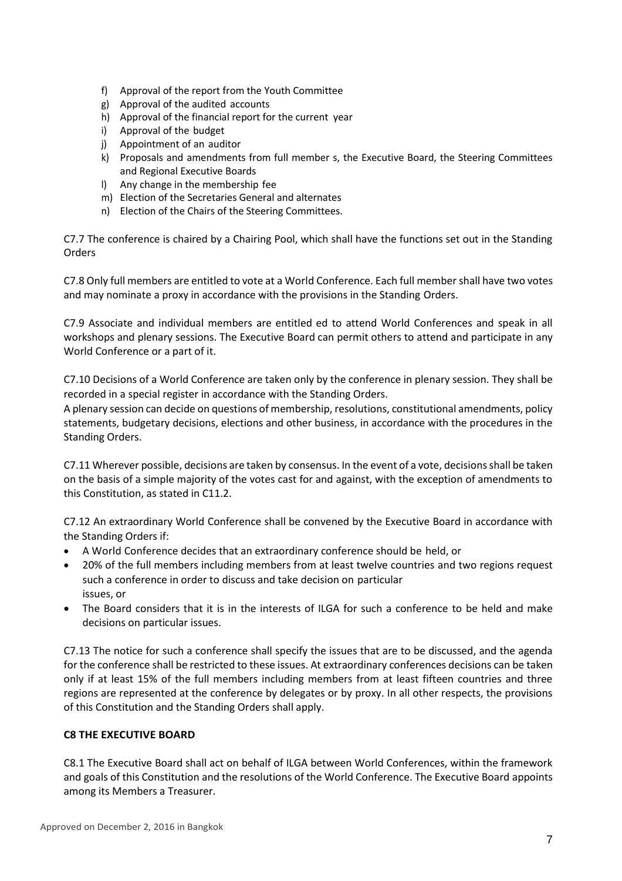- f) Approval of the report from the Youth Committee
- g) Approval of the audited accounts
- h) Approval of the financial report for the current year
- i) Approval of the budget
- j) Appointment of an auditor
- k) Proposals and amendments from full member s, the Executive Board, the Steering Committees and Regional Executive Boards
- l) Any change in the membership fee
- m) Election of the Secretaries General and alternates
- n) Election of the Chairs of the Steering Committees.

C7.7 The conference is chaired by a Chairing Pool, which shall have the functions set out in the Standing Orders

C7.8 Only full members are entitled to vote at a World Conference. Each full member shall have two votes and may nominate a proxy in accordance with the provisions in the Standing Orders.

C7.9 Associate and individual members are entitled ed to attend World Conferences and speak in all workshops and plenary sessions. The Executive Board can permit others to attend and participate in any World Conference or a part of it.

C7.10 Decisions of a World Conference are taken only by the conference in plenary session. They shall be recorded in a special register in accordance with the Standing Orders.

A plenary session can decide on questions of membership, resolutions, constitutional amendments, policy statements, budgetary decisions, elections and other business, in accordance with the procedures in the Standing Orders.

C7.11 Wherever possible, decisions are taken by consensus. In the event of a vote, decisions shall be taken on the basis of a simple majority of the votes cast for and against, with the exception of amendments to this Constitution, as stated in C11.2.

C7.12 An extraordinary World Conference shall be convened by the Executive Board in accordance with the Standing Orders if:

- A World Conference decides that an extraordinary conference should be held, or
- 20% of the full members including members from at least twelve countries and two regions request such a conference in order to discuss and take decision on particular issues, or
- The Board considers that it is in the interests of ILGA for such a conference to be held and make decisions on particular issues.

C7.13 The notice for such a conference shall specify the issues that are to be discussed, and the agenda for the conference shall be restricted to these issues. At extraordinary conferences decisions can be taken only if at least 15% of the full members including members from at least fifteen countries and three regions are represented at the conference by delegates or by proxy. In all other respects, the provisions of this Constitution and the Standing Orders shall apply.

## **C8 THE EXECUTIVE BOARD**

C8.1 The Executive Board shall act on behalf of ILGA between World Conferences, within the framework and goals of this Constitution and the resolutions of the World Conference. The Executive Board appoints among its Members a Treasurer.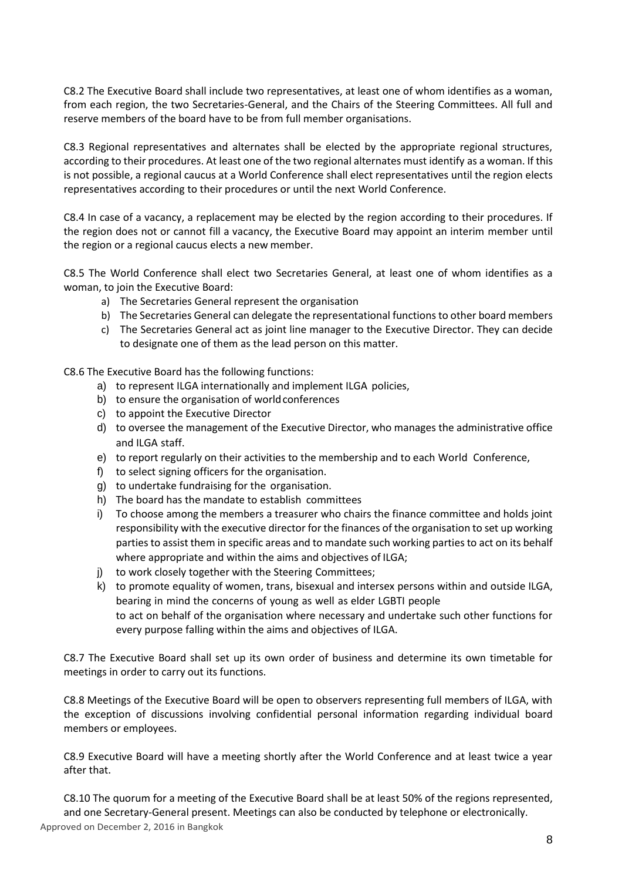C8.2 The Executive Board shall include two representatives, at least one of whom identifies as a woman, from each region, the two Secretaries-General, and the Chairs of the Steering Committees. All full and reserve members of the board have to be from full member organisations.

C8.3 Regional representatives and alternates shall be elected by the appropriate regional structures, according to their procedures. At least one of the two regional alternates must identify as a woman. If this is not possible, a regional caucus at a World Conference shall elect representatives until the region elects representatives according to their procedures or until the next World Conference.

C8.4 In case of a vacancy, a replacement may be elected by the region according to their procedures. If the region does not or cannot fill a vacancy, the Executive Board may appoint an interim member until the region or a regional caucus elects a new member.

C8.5 The World Conference shall elect two Secretaries General, at least one of whom identifies as a woman, to join the Executive Board:

- a) The Secretaries General represent the organisation
- b) The Secretaries General can delegate the representational functions to other board members
- c) The Secretaries General act as joint line manager to the Executive Director. They can decide to designate one of them as the lead person on this matter.

C8.6 The Executive Board has the following functions:

- a) to represent ILGA internationally and implement ILGA policies,
- b) to ensure the organisation of world conferences
- c) to appoint the Executive Director
- d) to oversee the management of the Executive Director, who manages the administrative office and ILGA staff.
- e) to report regularly on their activities to the membership and to each World Conference,
- f) to select signing officers for the organisation.
- g) to undertake fundraising for the organisation.
- h) The board has the mandate to establish committees
- i) To choose among the members a treasurer who chairs the finance committee and holds joint responsibility with the executive director for the finances of the organisation to set up working parties to assist them in specific areas and to mandate such working parties to act on its behalf where appropriate and within the aims and objectives of ILGA;
- j) to work closely together with the Steering Committees;
- k) to promote equality of women, trans, bisexual and intersex persons within and outside ILGA, bearing in mind the concerns of young as well as elder LGBTI people to act on behalf of the organisation where necessary and undertake such other functions for every purpose falling within the aims and objectives of ILGA.

C8.7 The Executive Board shall set up its own order of business and determine its own timetable for meetings in order to carry out its functions.

C8.8 Meetings of the Executive Board will be open to observers representing full members of ILGA, with the exception of discussions involving confidential personal information regarding individual board members or employees.

C8.9 Executive Board will have a meeting shortly after the World Conference and at least twice a year after that.

C8.10 The quorum for a meeting of the Executive Board shall be at least 50% of the regions represented, and one Secretary-General present. Meetings can also be conducted by telephone or electronically.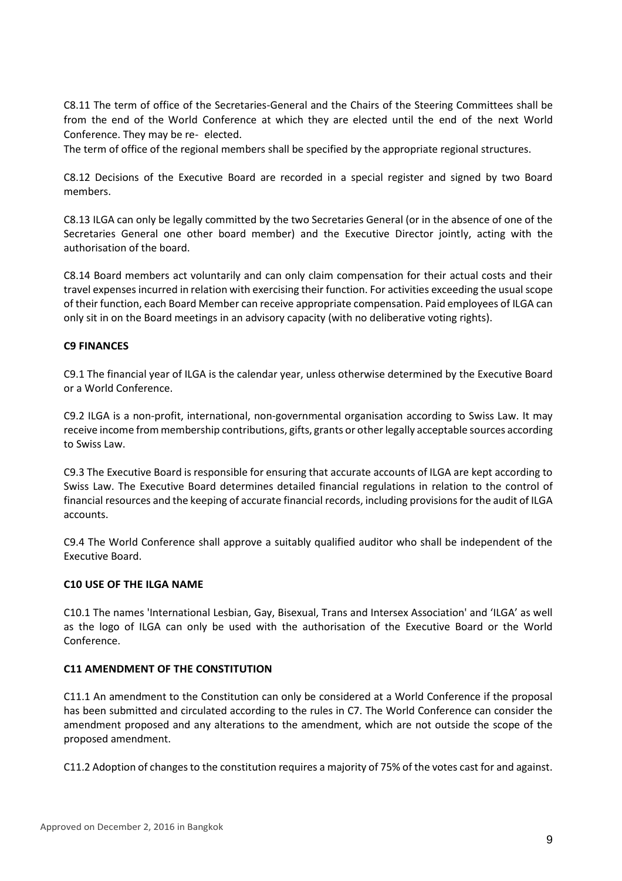C8.11 The term of office of the Secretaries-General and the Chairs of the Steering Committees shall be from the end of the World Conference at which they are elected until the end of the next World Conference. They may be re- elected.

The term of office of the regional members shall be specified by the appropriate regional structures.

C8.12 Decisions of the Executive Board are recorded in a special register and signed by two Board members.

C8.13 ILGA can only be legally committed by the two Secretaries General (or in the absence of one of the Secretaries General one other board member) and the Executive Director jointly, acting with the authorisation of the board.

C8.14 Board members act voluntarily and can only claim compensation for their actual costs and their travel expenses incurred in relation with exercising their function. For activities exceeding the usual scope of their function, each Board Member can receive appropriate compensation. Paid employees of ILGA can only sit in on the Board meetings in an advisory capacity (with no deliberative voting rights).

#### **C9 FINANCES**

C9.1 The financial year of ILGA is the calendar year, unless otherwise determined by the Executive Board or a World Conference.

C9.2 ILGA is a non-profit, international, non-governmental organisation according to Swiss Law. It may receive income from membership contributions, gifts, grants or other legally acceptable sources according to Swiss Law.

C9.3 The Executive Board is responsible for ensuring that accurate accounts of ILGA are kept according to Swiss Law. The Executive Board determines detailed financial regulations in relation to the control of financial resources and the keeping of accurate financial records, including provisions for the audit of ILGA accounts.

C9.4 The World Conference shall approve a suitably qualified auditor who shall be independent of the Executive Board.

#### **C10 USE OF THE ILGA NAME**

C10.1 The names 'International Lesbian, Gay, Bisexual, Trans and Intersex Association' and 'ILGA' as well as the logo of ILGA can only be used with the authorisation of the Executive Board or the World Conference.

#### **C11 AMENDMENT OF THE CONSTITUTION**

C11.1 An amendment to the Constitution can only be considered at a World Conference if the proposal has been submitted and circulated according to the rules in C7. The World Conference can consider the amendment proposed and any alterations to the amendment, which are not outside the scope of the proposed amendment.

C11.2 Adoption of changes to the constitution requires a majority of 75% of the votes cast for and against.